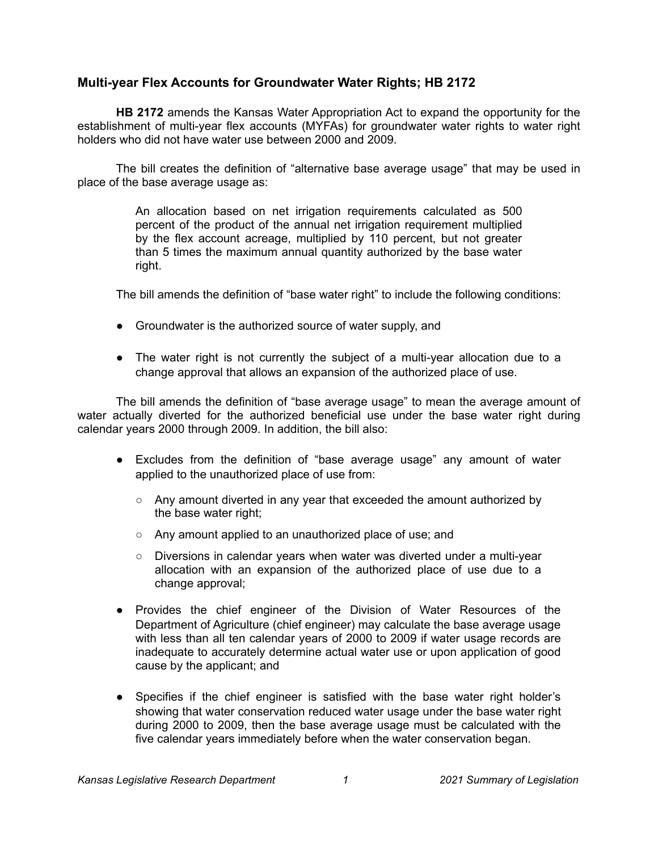## **Multi-year Flex Accounts for Groundwater Water Rights; HB 2172**

**HB 2172** amends the Kansas Water Appropriation Act to expand the opportunity for the establishment of multi-year flex accounts (MYFAs) for groundwater water rights to water right holders who did not have water use between 2000 and 2009.

The bill creates the definition of "alternative base average usage" that may be used in place of the base average usage as:

> An allocation based on net irrigation requirements calculated as 500 percent of the product of the annual net irrigation requirement multiplied by the flex account acreage, multiplied by 110 percent, but not greater than 5 times the maximum annual quantity authorized by the base water right.

The bill amends the definition of "base water right" to include the following conditions:

- Groundwater is the authorized source of water supply, and
- The water right is not currently the subject of a multi-year allocation due to a change approval that allows an expansion of the authorized place of use.

The bill amends the definition of "base average usage" to mean the average amount of water actually diverted for the authorized beneficial use under the base water right during calendar years 2000 through 2009. In addition, the bill also:

- Excludes from the definition of "base average usage" any amount of water applied to the unauthorized place of use from:
	- $\circ$  Any amount diverted in any year that exceeded the amount authorized by the base water right;
	- Any amount applied to an unauthorized place of use; and
	- Diversions in calendar years when water was diverted under a multi-year allocation with an expansion of the authorized place of use due to a change approval;
- Provides the chief engineer of the Division of Water Resources of the Department of Agriculture (chief engineer) may calculate the base average usage with less than all ten calendar years of 2000 to 2009 if water usage records are inadequate to accurately determine actual water use or upon application of good cause by the applicant; and
- Specifies if the chief engineer is satisfied with the base water right holder's showing that water conservation reduced water usage under the base water right during 2000 to 2009, then the base average usage must be calculated with the five calendar years immediately before when the water conservation began.